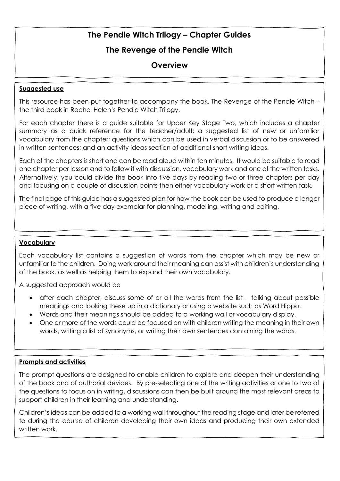## **The Revenge of the Pendle Witch**

## **Overview**

#### **Suggested use**

This resource has been put together to accompany the book, The Revenge of the Pendle Witch – the third book in Rachel Helen's Pendle Witch Trilogy.

For each chapter there is a guide suitable for Upper Key Stage Two, which includes a chapter summary as a quick reference for the teacher/adult; a suggested list of new or unfamiliar vocabulary from the chapter; questions which can be used in verbal discussion or to be answered in written sentences; and an activity ideas section of additional short writing ideas.

Each of the chapters is short and can be read aloud within ten minutes. It would be suitable to read one chapter per lesson and to follow it with discussion, vocabulary work and one of the written tasks. Alternatively, you could divide the book into five days by reading two or three chapters per day and focusing on a couple of discussion points then either vocabulary work or a short written task.

The final page of this guide has a suggested plan for how the book can be used to produce a longer piece of writing, with a five day exemplar for planning, modelling, writing and editing.

#### **Vocabulary**

Each vocabulary list contains a suggestion of words from the chapter which may be new or unfamiliar to the children. Doing work around their meaning can assist with children's understanding of the book, as well as helping them to expand their own vocabulary.

A suggested approach would be

- after each chapter, discuss some of or all the words from the list talking about possible meanings and looking these up in a dictionary or using a website such as Word Hippo.
- Words and their meanings should be added to a working wall or vocabulary display.
- One or more of the words could be focused on with children writing the meaning in their own words, writing a list of synonyms, or writing their own sentences containing the words.

### **Prompts and activities**

The prompt questions are designed to enable children to explore and deepen their understanding of the book and of authorial devices. By pre-selecting one of the writing activities or one to two of the questions to focus on in writing, discussions can then be built around the most relevant areas to support children in their learning and understanding.

Children's ideas can be added to a working wall throughout the reading stage and later be referred to during the course of children developing their own ideas and producing their own extended written work.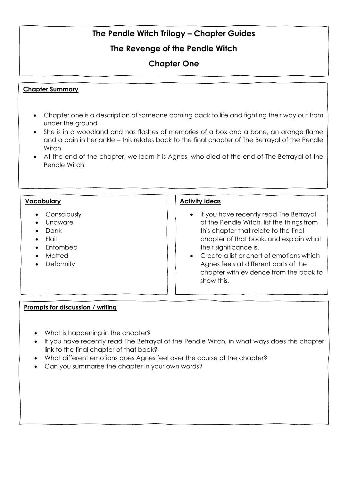## **The Revenge of the Pendle Witch**

# **Chapter One**

#### **Chapter Summary**

- Chapter one is a description of someone coming back to life and fighting their way out from under the ground
- She is in a woodland and has flashes of memories of a box and a bone, an orange flame and a pain in her ankle – this relates back to the final chapter of The Betrayal of the Pendle **Witch**
- At the end of the chapter, we learn it is Agnes, who died at the end of The Betrayal of the Pendle Witch

#### **Vocabulary**

- Consciously
- Unaware
- Dank
- Flail
- Entombed
- Matted
- Deformity

#### **Activity ideas**

- If you have recently read The Betrayal of the Pendle Witch, list the things from this chapter that relate to the final chapter of that book, and explain what their significance is.
- Create a list or chart of emotions which Agnes feels at different parts of the chapter with evidence from the book to show this.

- What is happening in the chapter?
- If you have recently read The Betrayal of the Pendle Witch, in what ways does this chapter link to the final chapter of that book?
- What different emotions does Agnes feel over the course of the chapter?
- Can you summarise the chapter in your own words?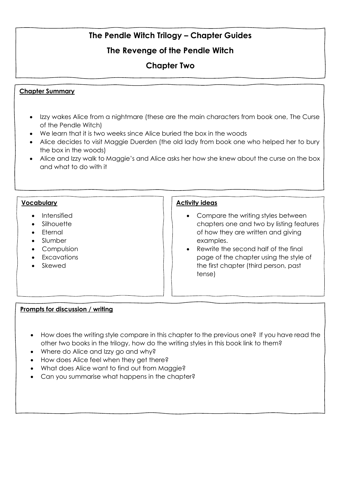## **The Revenge of the Pendle Witch**

## **Chapter Two**

### **Chapter Summary**

- Izzy wakes Alice from a nightmare (these are the main characters from book one, The Curse of the Pendle Witch)
- We learn that it is two weeks since Alice buried the box in the woods
- Alice decides to visit Maggie Duerden (the old lady from book one who helped her to bury the box in the woods)
- Alice and Izzy walk to Maggie's and Alice asks her how she knew about the curse on the box and what to do with it

#### **Vocabulary**

- Intensified
- Silhouette
- Eternal
- Slumber
- Compulsion
- Excavations
- Skewed

#### **Activity ideas**

- Compare the writing styles between chapters one and two by listing features of how they are written and giving examples.
- Rewrite the second half of the final page of the chapter using the style of the first chapter (third person, past tense)

- How does the writing style compare in this chapter to the previous one? If you have read the other two books in the trilogy, how do the writing styles in this book link to them?
- Where do Alice and Izzy go and why?
- How does Alice feel when they get there?
- What does Alice want to find out from Maggie?
- Can you summarise what happens in the chapter?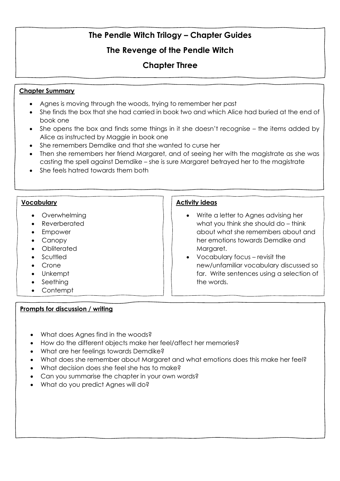## **The Revenge of the Pendle Witch**

## **Chapter Three**

#### **Chapter Summary**

- Agnes is moving through the woods, trying to remember her past
- She finds the box that she had carried in book two and which Alice had buried at the end of book one
- She opens the box and finds some things in it she doesn't recognise the items added by Alice as instructed by Maggie in book one
- She remembers Demdike and that she wanted to curse her
- Then she remembers her friend Margaret, and of seeing her with the magistrate as she was casting the spell against Demdike – she is sure Margaret betrayed her to the magistrate
- She feels hatred towards them both

### **Vocabulary**

- Overwhelming
- Reverberated
- Empower
- Canopy
- Obliterated
- Scuttled
- Crone
- Unkempt
- Seething
- Contempt

#### **Prompts for discussion / writing**

- Write a letter to Agnes advising her what you think she should do – think about what she remembers about and her emotions towards Demdike and Margaret.
- Vocabulary focus revisit the new/unfamiliar vocabulary discussed so far. Write sentences using a selection of the words.

- What does Agnes find in the woods?
- How do the different objects make her feel/affect her memories?
- What are her feelings towards Demdike?
- What does she remember about Margaret and what emotions does this make her feel?
- What decision does she feel she has to make?
- Can you summarise the chapter in your own words?
- What do you predict Agnes will do?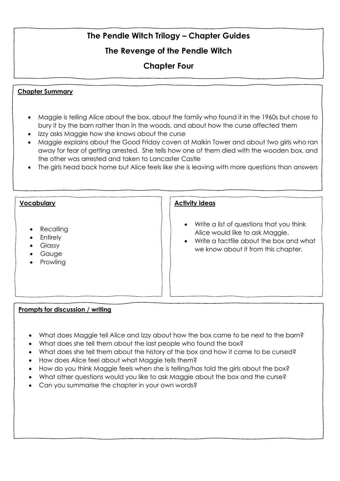# **The Revenge of the Pendle Witch**

# **Chapter Four**

### **Chapter Summary**

- Maggie is telling Alice about the box, about the family who found it in the 1960s but chose to bury it by the barn rather than in the woods, and about how the curse affected them
- Izzy asks Maggie how she knows about the curse
- Maggie explains about the Good Friday coven at Malkin Tower and about two girls who ran away for fear of getting arrested. She tells how one of them died with the wooden box, and the other was arrested and taken to Lancaster Castle
- The girls head back home but Alice feels like she is leaving with more questions than answers

## **Vocabulary** • Recalling • Entirely • Glassy • Gauge • Prowling **Activity ideas** • Write a list of questions that you think Alice would like to ask Maggie. • Write a factfile about the box and what we know about it from this chapter.

- What does Maggie tell Alice and Izzy about how the box came to be next to the barn?
- What does she tell them about the last people who found the box?
- What does she tell them about the history of the box and how it came to be cursed?
- How does Alice feel about what Maggie tells them?
- How do you think Maggie feels when she is telling/has told the girls about the box?
- What other questions would you like to ask Maggie about the box and the curse?
- Can you summarise the chapter in your own words?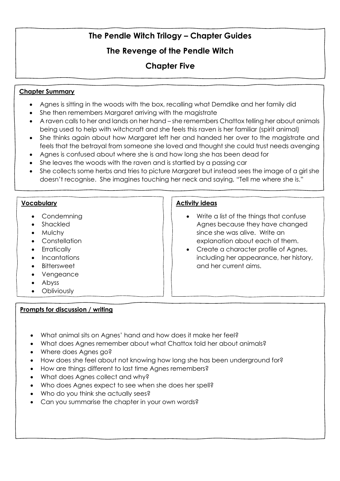## **The Revenge of the Pendle Witch**

## **Chapter Five**

### **Chapter Summary**

- Agnes is sitting in the woods with the box, recalling what Demdike and her family did
- She then remembers Margaret arriving with the magistrate
- A raven calls to her and lands on her hand she remembers Chattox telling her about animals being used to help with witchcraft and she feels this raven is her familiar (spirit animal)
- She thinks again about how Margaret left her and handed her over to the magistrate and feels that the betrayal from someone she loved and thought she could trust needs avenging
- Agnes is confused about where she is and how long she has been dead for
- She leaves the woods with the raven and is startled by a passing car
- She collects some herbs and tries to picture Margaret but instead sees the image of a girl she doesn't recognise. She imagines touching her neck and saying, "Tell me where she is."

#### **Vocabulary**

- Condemning
- Shackled
- Mulchy
- Constellation
- Erratically
- Incantations
- Bittersweet
- Vengeance
- Abyss
- Obliviously

### **Prompts for discussion / writing**

- Write a list of the things that confuse Agnes because they have changed since she was alive. Write an explanation about each of them.
- Create a character profile of Agnes, including her appearance, her history, and her current aims.

- What animal sits on Agnes' hand and how does it make her feel?
- What does Agnes remember about what Chattox told her about animals?
- Where does Agnes go?
- How does she feel about not knowing how long she has been underground for?
- How are things different to last time Agnes remembers?
- What does Agnes collect and why?
- Who does Agnes expect to see when she does her spell?
- Who do you think she actually sees?
- Can you summarise the chapter in your own words?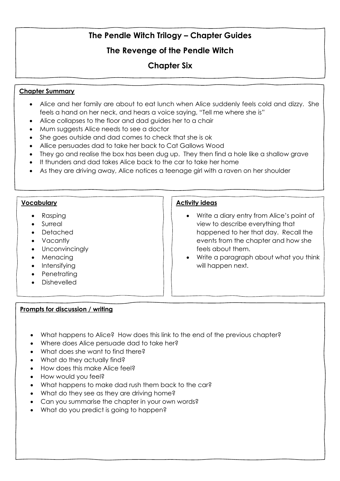## **The Revenge of the Pendle Witch**

## **Chapter Six**

### **Chapter Summary**

- Alice and her family are about to eat lunch when Alice suddenly feels cold and dizzy. She feels a hand on her neck, and hears a voice saying, "Tell me where she is"
- Alice collapses to the floor and dad guides her to a chair
- Mum suggests Alice needs to see a doctor
- She goes outside and dad comes to check that she is ok
- Allice persuades dad to take her back to Cat Gallows Wood
- They go and realise the box has been dug up. They then find a hole like a shallow grave
- It thunders and dad takes Alice back to the car to take her home
- As they are driving away, Alice notices a teenage girl with a raven on her shoulder

#### **Vocabulary**

- Rasping
- Surreal
- Detached
- Vacantly
- Unconvincingly
- Menacing
- Intensifying
- Penetrating
- Dishevelled

### **Prompts for discussion / writing**

- Write a diary entry from Alice's point of view to describe everything that happened to her that day. Recall the events from the chapter and how she feels about them.
- Write a paragraph about what you think will happen next.

- What happens to Alice? How does this link to the end of the previous chapter?
- Where does Alice persuade dad to take her?
- What does she want to find there?
- What do they actually find?
- How does this make Alice feel?
- How would you feel?
- What happens to make dad rush them back to the car?
- What do they see as they are driving home?
- Can you summarise the chapter in your own words?
- What do you predict is going to happen?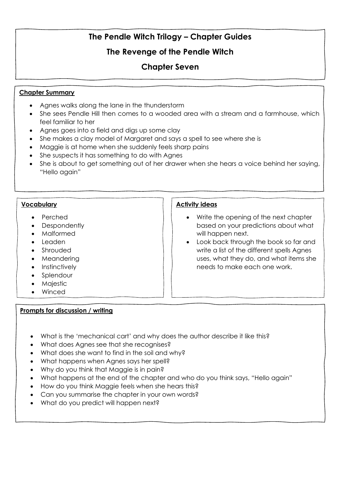# **The Revenge of the Pendle Witch**

# **Chapter Seven**

### **Chapter Summary**

- Agnes walks along the lane in the thunderstorm
- She sees Pendle Hill then comes to a wooded area with a stream and a farmhouse, which feel familiar to her
- Agnes goes into a field and digs up some clay
- She makes a clay model of Margaret and says a spell to see where she is
- Maggie is at home when she suddenly feels sharp pains
- She suspects it has something to do with Agnes
- She is about to get something out of her drawer when she hears a voice behind her saying, "Hello again"

### **Vocabulary**

- Perched
- **Despondently**
- Malformed
- Leaden
- Shrouded
- Meandering
- Instinctively
- Splendour
- Majestic
- Winced

### **Prompts for discussion / writing**

- Write the opening of the next chapter based on your predictions about what will happen next.
- Look back through the book so far and write a list of the different spells Agnes uses, what they do, and what items she needs to make each one work.

- What is the 'mechanical cart' and why does the author describe it like this?
- What does Agnes see that she recognises?
- What does she want to find in the soil and why?
- What happens when Agnes says her spell?
- Why do you think that Maggie is in pain?
- What happens at the end of the chapter and who do you think says, "Hello again"
- How do you think Maggie feels when she hears this?
- Can you summarise the chapter in your own words?
- What do you predict will happen next?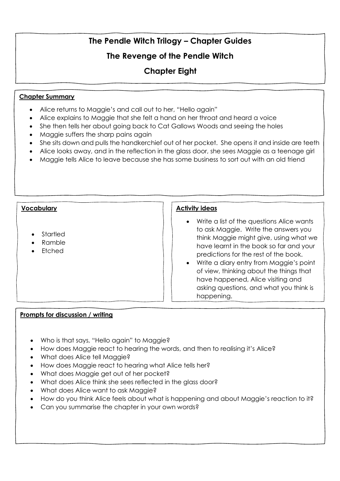# **The Revenge of the Pendle Witch**

# **Chapter Eight**

### **Chapter Summary**

- Alice returns to Maggie's and call out to her, "Hello again"
- Alice explains to Maggie that she felt a hand on her throat and heard a voice
- She then tells her about going back to Cat Gallows Woods and seeing the holes
- Maggie suffers the sharp pains again
- She sits down and pulls the handkerchief out of her pocket. She opens it and inside are teeth
- Alice looks away, and in the reflection in the glass door, she sees Maggie as a teenage girl
- Maggie tells Alice to leave because she has some business to sort out with an old friend

#### **Vocabulary**

- Startled
- Ramble
- Etched

#### **Activity ideas**

- Write a list of the questions Alice wants to ask Maggie. Write the answers you think Maggie might give, using what we have learnt in the book so far and your predictions for the rest of the book.
- Write a diary entry from Maggie's point of view, thinking about the things that have happened, Alice visiting and asking questions, and what you think is happening.

- Who is that says, "Hello again" to Maggie?
- How does Maggie react to hearing the words, and then to realising it's Alice?
- What does Alice tell Maggie?
- How does Maggie react to hearing what Alice tells her?
- What does Maggie get out of her pocket?
- What does Alice think she sees reflected in the glass door?
- What does Alice want to ask Maggie?
- How do you think Alice feels about what is happening and about Maggie's reaction to it?
- Can you summarise the chapter in your own words?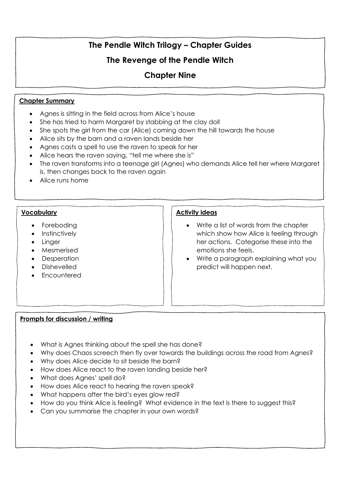## **The Revenge of the Pendle Witch**

## **Chapter Nine**

### **Chapter Summary**

- Agnes is sitting in the field across from Alice's house
- She has tried to harm Margaret by stabbing at the clay doll
- She spots the girl from the car (Alice) coming down the hill towards the house
- Alice sits by the barn and a raven lands beside her
- Agnes casts a spell to use the raven to speak for her
- Alice hears the raven saying, "tell me where she is"
- The raven transforms into a teenage girl (Agnes) who demands Alice tell her where Margaret is, then changes back to the raven again
- Alice runs home

#### **Vocabulary**

- Foreboding
- Instinctively
- Linger
- Mesmerised
- Desperation
- Dishevelled
- Encountered

### **Activity ideas**

- Write a list of words from the chapter which show how Alice is feeling through her actions. Categorise these into the emotions she feels.
- Write a paragraph explaining what you predict will happen next.

- What is Agnes thinking about the spell she has done?
- Why does Chaos screech then fly over towards the buildings across the road from Agnes?
- Why does Alice decide to sit beside the barn?
- How does Alice react to the raven landing beside her?
- What does Agnes' spell do?
- How does Alice react to hearing the raven speak?
- What happens after the bird's eyes glow red?
- How do you think Alice is feeling? What evidence in the text is there to suggest this?
- Can you summarise the chapter in your own words?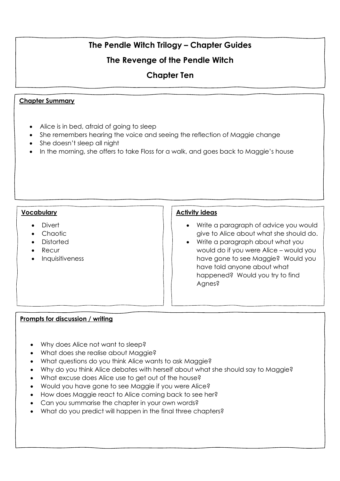# **The Revenge of the Pendle Witch**

## **Chapter Ten**

### **Chapter Summary**

- Alice is in bed, afraid of going to sleep
- She remembers hearing the voice and seeing the reflection of Maggie change
- She doesn't sleep all night
- In the morning, she offers to take Floss for a walk, and goes back to Maggie's house

### **Vocabulary**

- Divert
- Chaotic
- Distorted
- Recur
- Inquisitiveness

### **Activity ideas**

- Write a paragraph of advice you would give to Alice about what she should do.
- Write a paragraph about what you would do if you were Alice – would you have gone to see Maggie? Would you have told anyone about what happened? Would you try to find Agnes?

- Why does Alice not want to sleep?
- What does she realise about Maggie?
- What questions do you think Alice wants to ask Maggie?
- Why do you think Alice debates with herself about what she should say to Maggie?
- What excuse does Alice use to get out of the house?
- Would you have gone to see Maggie if you were Alice?
- How does Maggie react to Alice coming back to see her?
- Can you summarise the chapter in your own words?
- What do you predict will happen in the final three chapters?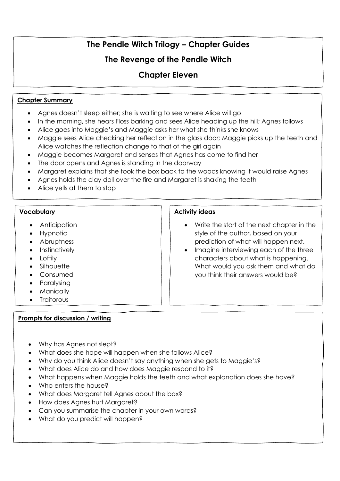# **The Revenge of the Pendle Witch**

# **Chapter Eleven**

### **Chapter Summary**

- Agnes doesn't sleep either; she is waiting to see where Alice will go
- In the morning, she hears Floss barking and sees Alice heading up the hill; Agnes follows
- Alice goes into Maggie's and Maggie asks her what she thinks she knows
- Maggie sees Alice checking her reflection in the glass door; Maggie picks up the teeth and Alice watches the reflection change to that of the girl again
- Maggie becomes Margaret and senses that Agnes has come to find her
- The door opens and Agnes is standing in the doorway
- Margaret explains that she took the box back to the woods knowing it would raise Agnes
- Agnes holds the clay doll over the fire and Margaret is shaking the teeth
- Alice yells at them to stop

#### **Vocabulary**

- Anticipation
- Hypnotic
- Abruptness
- Instinctively
- Loftily
- Silhouette
- Consumed
- Paralysing
- **Manically**
- **Traitorous**

### **Prompts for discussion / writing**

- Write the start of the next chapter in the style of the author, based on your prediction of what will happen next.
- Imagine interviewing each of the three characters about what is happening. What would you ask them and what do you think their answers would be?

- Why has Agnes not slept?
- What does she hope will happen when she follows Alice?
- Why do you think Alice doesn't say anything when she gets to Maggie's?
- What does Alice do and how does Maggie respond to it?
- What happens when Maggie holds the teeth and what explanation does she have?
- Who enters the house?
- What does Margaret tell Agnes about the box?
- How does Agnes hurt Margaret?
- Can you summarise the chapter in your own words?
- What do you predict will happen?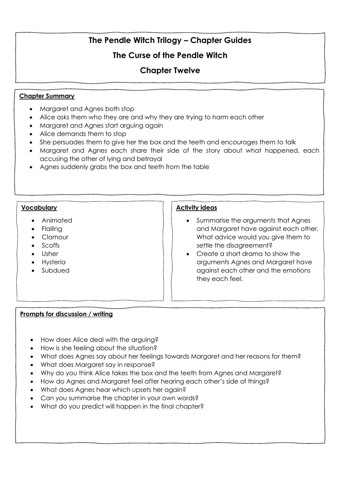## **The Curse of the Pendle Witch**

## **Chapter Twelve**

### **Chapter Summary**

- Margaret and Agnes both stop
- Alice asks them who they are and why they are trying to harm each other
- Margaret and Agnes start arguing again
- Alice demands them to stop
- She persuades them to give her the box and the teeth and encourages them to talk
- Margaret and Agnes each share their side of the story about what happened, each accusing the other of lying and betrayal
- Agnes suddenly grabs the box and teeth from the table

#### **Vocabulary**

- Animated
- Flailing
- Clamour
- Scoffs
- Usher
- Hysteria
- Subdued

#### **Activity ideas**

- Summarise the arguments that Agnes and Margaret have against each other. What advice would you give them to settle the disagreement?
- Create a short drama to show the arguments Agnes and Margaret have against each other and the emotions they each feel.

- How does Alice deal with the arguing?
- How is she feeling about the situation?
- What does Agnes say about her feelings towards Margaret and her reasons for them?
- What does Margaret say in response?
- Why do you think Alice takes the box and the teeth from Agnes and Margaret?
- How do Agnes and Margaret feel after hearing each other's side of things?
- What does Agnes hear which upsets her again?
- Can you summarise the chapter in your own words?
- What do you predict will happen in the final chapter?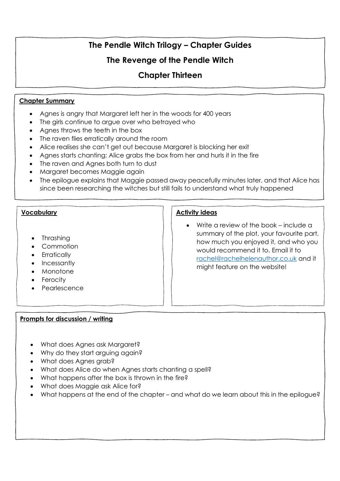## **The Revenge of the Pendle Witch**

## **Chapter Thirteen**

### **Chapter Summary**

- Agnes is angry that Margaret left her in the woods for 400 years
- The girls continue to argue over who betrayed who
- Agnes throws the teeth in the box
- The raven flies erratically around the room
- Alice realises she can't get out because Margaret is blocking her exit
- Agnes starts chanting; Alice grabs the box from her and hurls it in the fire
- The raven and Agnes both turn to dust
- Margaret becomes Maggie again
- The epilogue explains that Maggie passed away peacefully minutes later, and that Alice has since been researching the witches but still fails to understand what truly happened

### **Vocabulary**

- Thrashing
- Commotion
- Erratically
- Incessantly
- Monotone
- Ferocity
- **Pearlescence**

### **Activity ideas**

• Write a review of the book – include a summary of the plot, your favourite part, how much you enjoyed it, and who you would recommend it to. Email it to [rachel@rachelhelenauthor.co.uk](mailto:rachel@rachelhelenauthor.co.uk) and it might feature on the website!

- What does Agnes ask Margaret?
- Why do they start arguing again?
- What does Agnes grab?
- What does Alice do when Agnes starts chanting a spell?
- What happens after the box is thrown in the fire?
- What does Maggie ask Alice for?
- What happens at the end of the chapter and what do we learn about this in the epilogue?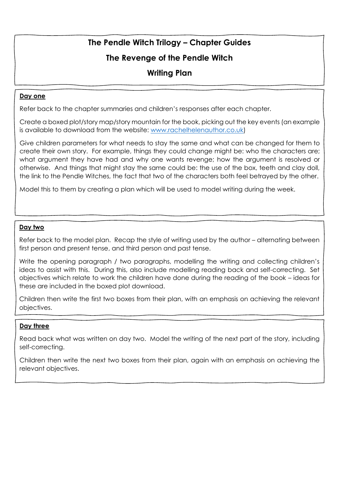## **The Revenge of the Pendle Witch**

## **Writing Plan**

### **Day one**

Refer back to the chapter summaries and children's responses after each chapter.

Create a boxed plot/story map/story mountain for the book, picking out the key events (an example is available to download from the website: [www.rachelhelenauthor.co.uk\)](http://www.rachelhelenauthor.co.uk/)

Give children parameters for what needs to stay the same and what can be changed for them to create their own story. For example, things they could change might be: who the characters are; what argument they have had and why one wants revenge; how the argument is resolved or otherwise. And things that might stay the same could be: the use of the box, teeth and clay doll, the link to the Pendle Witches, the fact that two of the characters both feel betrayed by the other.

Model this to them by creating a plan which will be used to model writing during the week.

### **Day two**

Refer back to the model plan. Recap the style of writing used by the author – alternating between first person and present tense, and third person and past tense.

Write the opening paragraph / two paragraphs, modelling the writing and collecting children's ideas to assist with this. During this, also include modelling reading back and self-correcting. Set objectives which relate to work the children have done during the reading of the book – ideas for these are included in the boxed plot download.

Children then write the first two boxes from their plan, with an emphasis on achieving the relevant objectives.

### **Day three**

Read back what was written on day two. Model the writing of the next part of the story, including self-correcting.

Children then write the next two boxes from their plan, again with an emphasis on achieving the relevant objectives.